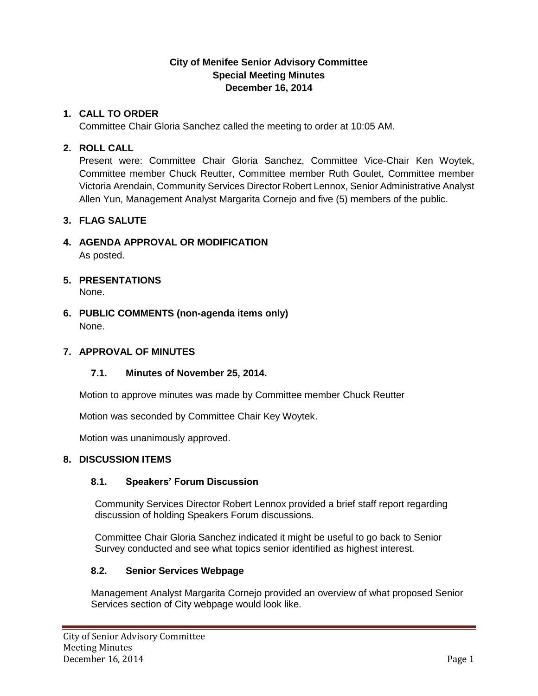## **City of Menifee Senior Advisory Committee Special Meeting Minutes December 16, 2014**

## **1. CALL TO ORDER**

Committee Chair Gloria Sanchez called the meeting to order at 10:05 AM.

# **2. ROLL CALL**

Present were: Committee Chair Gloria Sanchez, Committee Vice-Chair Ken Woytek, Committee member Chuck Reutter, Committee member Ruth Goulet, Committee member Victoria Arendain, Community Services Director Robert Lennox, Senior Administrative Analyst Allen Yun, Management Analyst Margarita Cornejo and five (5) members of the public.

# **3. FLAG SALUTE**

- **4. AGENDA APPROVAL OR MODIFICATION** As posted.
- **5. PRESENTATIONS** None.
- **6. PUBLIC COMMENTS (non-agenda items only)** None.

### **7. APPROVAL OF MINUTES**

### **7.1. Minutes of November 25, 2014.**

Motion to approve minutes was made by Committee member Chuck Reutter

Motion was seconded by Committee Chair Key Woytek.

Motion was unanimously approved.

### **8. DISCUSSION ITEMS**

### **8.1. Speakers' Forum Discussion**

Community Services Director Robert Lennox provided a brief staff report regarding discussion of holding Speakers Forum discussions.

Committee Chair Gloria Sanchez indicated it might be useful to go back to Senior Survey conducted and see what topics senior identified as highest interest.

### **8.2. Senior Services Webpage**

Management Analyst Margarita Cornejo provided an overview of what proposed Senior Services section of City webpage would look like.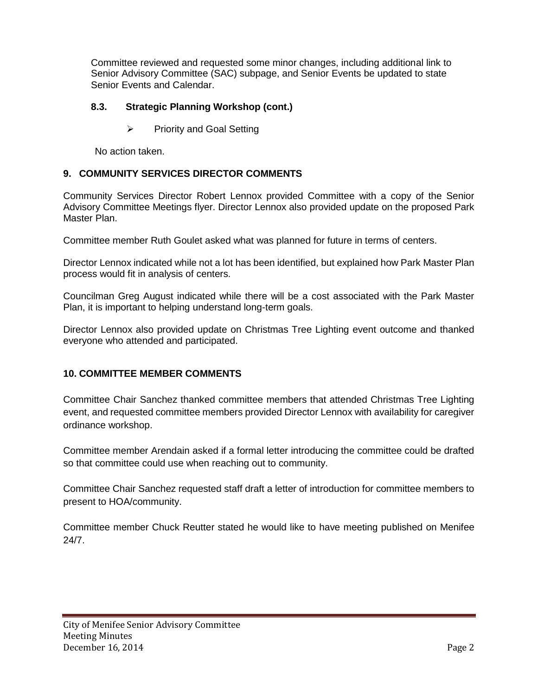Committee reviewed and requested some minor changes, including additional link to Senior Advisory Committee (SAC) subpage, and Senior Events be updated to state Senior Events and Calendar.

#### **8.3. Strategic Planning Workshop (cont.)**

 $\triangleright$  Priority and Goal Setting

No action taken.

#### **9. COMMUNITY SERVICES DIRECTOR COMMENTS**

Community Services Director Robert Lennox provided Committee with a copy of the Senior Advisory Committee Meetings flyer. Director Lennox also provided update on the proposed Park Master Plan.

Committee member Ruth Goulet asked what was planned for future in terms of centers.

Director Lennox indicated while not a lot has been identified, but explained how Park Master Plan process would fit in analysis of centers.

Councilman Greg August indicated while there will be a cost associated with the Park Master Plan, it is important to helping understand long-term goals.

Director Lennox also provided update on Christmas Tree Lighting event outcome and thanked everyone who attended and participated.

#### **10. COMMITTEE MEMBER COMMENTS**

Committee Chair Sanchez thanked committee members that attended Christmas Tree Lighting event, and requested committee members provided Director Lennox with availability for caregiver ordinance workshop.

Committee member Arendain asked if a formal letter introducing the committee could be drafted so that committee could use when reaching out to community.

Committee Chair Sanchez requested staff draft a letter of introduction for committee members to present to HOA/community.

Committee member Chuck Reutter stated he would like to have meeting published on Menifee 24/7.